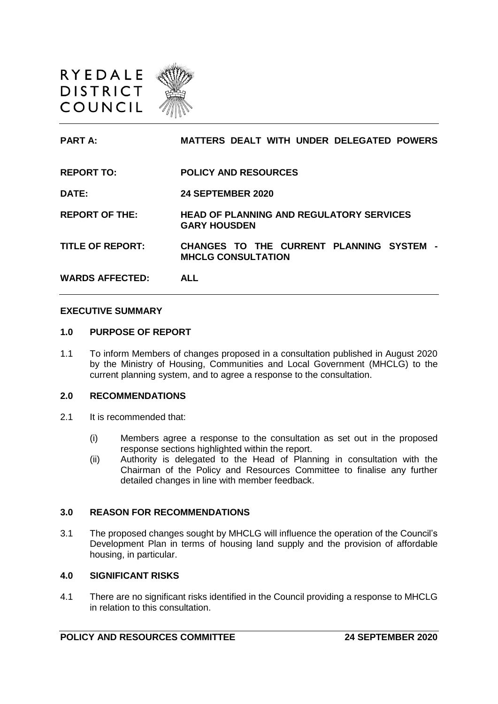

| <b>PART A:</b>          | <b>MATTERS DEALT WITH UNDER DELEGATED POWERS</b>                       |
|-------------------------|------------------------------------------------------------------------|
| <b>REPORT TO:</b>       | <b>POLICY AND RESOURCES</b>                                            |
| <b>DATE:</b>            | <b>24 SEPTEMBER 2020</b>                                               |
| <b>REPORT OF THE:</b>   | <b>HEAD OF PLANNING AND REGULATORY SERVICES</b><br><b>GARY HOUSDEN</b> |
| <b>TITLE OF REPORT:</b> | CHANGES TO THE CURRENT PLANNING SYSTEM -<br><b>MHCLG CONSULTATION</b>  |
| <b>WARDS AFFECTED:</b>  | <b>ALL</b>                                                             |

#### **EXECUTIVE SUMMARY**

#### **1.0 PURPOSE OF REPORT**

1.1 To inform Members of changes proposed in a consultation published in August 2020 by the Ministry of Housing, Communities and Local Government (MHCLG) to the current planning system, and to agree a response to the consultation.

#### **2.0 RECOMMENDATIONS**

- 2.1 It is recommended that:
	- (i) Members agree a response to the consultation as set out in the proposed response sections highlighted within the report.
	- (ii) Authority is delegated to the Head of Planning in consultation with the Chairman of the Policy and Resources Committee to finalise any further detailed changes in line with member feedback.

### **3.0 REASON FOR RECOMMENDATIONS**

3.1 The proposed changes sought by MHCLG will influence the operation of the Council's Development Plan in terms of housing land supply and the provision of affordable housing, in particular.

#### **4.0 SIGNIFICANT RISKS**

4.1 There are no significant risks identified in the Council providing a response to MHCLG in relation to this consultation.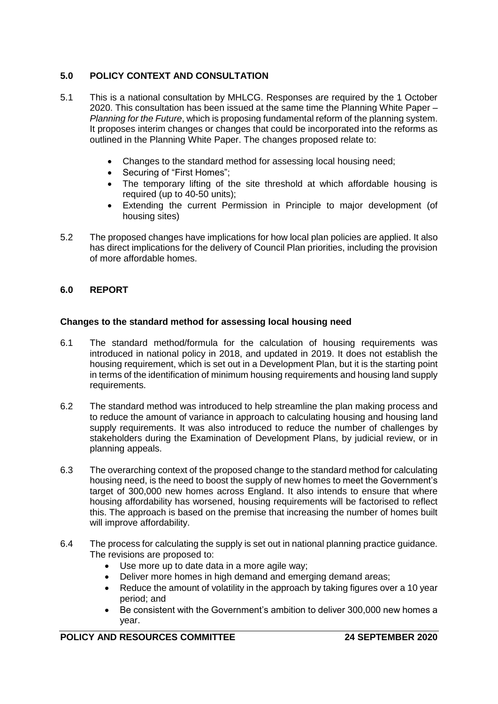# **5.0 POLICY CONTEXT AND CONSULTATION**

- 5.1 This is a national consultation by MHLCG. Responses are required by the 1 October 2020. This consultation has been issued at the same time the Planning White Paper – *Planning for the Future*, which is proposing fundamental reform of the planning system. It proposes interim changes or changes that could be incorporated into the reforms as outlined in the Planning White Paper. The changes proposed relate to:
	- Changes to the standard method for assessing local housing need;
	- Securing of "First Homes";
	- The temporary lifting of the site threshold at which affordable housing is required (up to 40-50 units);
	- Extending the current Permission in Principle to major development (of housing sites)
- 5.2 The proposed changes have implications for how local plan policies are applied. It also has direct implications for the delivery of Council Plan priorities, including the provision of more affordable homes.

# **6.0 REPORT**

## **Changes to the standard method for assessing local housing need**

- 6.1 The standard method/formula for the calculation of housing requirements was introduced in national policy in 2018, and updated in 2019. It does not establish the housing requirement, which is set out in a Development Plan, but it is the starting point in terms of the identification of minimum housing requirements and housing land supply requirements.
- 6.2 The standard method was introduced to help streamline the plan making process and to reduce the amount of variance in approach to calculating housing and housing land supply requirements. It was also introduced to reduce the number of challenges by stakeholders during the Examination of Development Plans, by judicial review, or in planning appeals.
- 6.3 The overarching context of the proposed change to the standard method for calculating housing need, is the need to boost the supply of new homes to meet the Government's target of 300,000 new homes across England. It also intends to ensure that where housing affordability has worsened, housing requirements will be factorised to reflect this. The approach is based on the premise that increasing the number of homes built will improve affordability.
- 6.4 The process for calculating the supply is set out in national planning practice guidance. The revisions are proposed to:
	- Use more up to date data in a more agile way;
	- Deliver more homes in high demand and emerging demand areas:
	- Reduce the amount of volatility in the approach by taking figures over a 10 year period; and
	- Be consistent with the Government's ambition to deliver 300,000 new homes a year.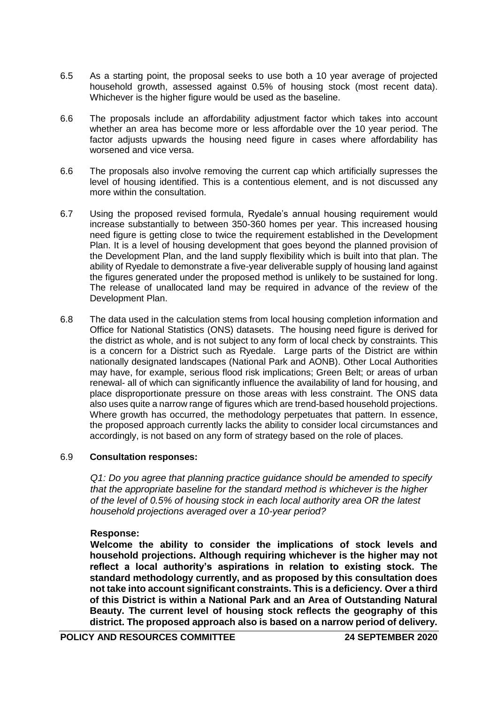- 6.5 As a starting point, the proposal seeks to use both a 10 year average of projected household growth, assessed against 0.5% of housing stock (most recent data). Whichever is the higher figure would be used as the baseline.
- 6.6 The proposals include an affordability adjustment factor which takes into account whether an area has become more or less affordable over the 10 year period. The factor adjusts upwards the housing need figure in cases where affordability has worsened and vice versa.
- 6.6 The proposals also involve removing the current cap which artificially supresses the level of housing identified. This is a contentious element, and is not discussed any more within the consultation.
- 6.7 Using the proposed revised formula, Ryedale's annual housing requirement would increase substantially to between 350-360 homes per year. This increased housing need figure is getting close to twice the requirement established in the Development Plan. It is a level of housing development that goes beyond the planned provision of the Development Plan, and the land supply flexibility which is built into that plan. The ability of Ryedale to demonstrate a five-year deliverable supply of housing land against the figures generated under the proposed method is unlikely to be sustained for long. The release of unallocated land may be required in advance of the review of the Development Plan.
- 6.8 The data used in the calculation stems from local housing completion information and Office for National Statistics (ONS) datasets. The housing need figure is derived for the district as whole, and is not subject to any form of local check by constraints. This is a concern for a District such as Ryedale. Large parts of the District are within nationally designated landscapes (National Park and AONB). Other Local Authorities may have, for example, serious flood risk implications; Green Belt; or areas of urban renewal- all of which can significantly influence the availability of land for housing, and place disproportionate pressure on those areas with less constraint. The ONS data also uses quite a narrow range of figures which are trend-based household projections. Where growth has occurred, the methodology perpetuates that pattern. In essence, the proposed approach currently lacks the ability to consider local circumstances and accordingly, is not based on any form of strategy based on the role of places.

### 6.9 **Consultation responses:**

*Q1: Do you agree that planning practice guidance should be amended to specify that the appropriate baseline for the standard method is whichever is the higher of the level of 0.5% of housing stock in each local authority area OR the latest household projections averaged over a 10-year period?* 

### **Response:**

**Welcome the ability to consider the implications of stock levels and household projections. Although requiring whichever is the higher may not reflect a local authority's aspirations in relation to existing stock. The standard methodology currently, and as proposed by this consultation does not take into account significant constraints. This is a deficiency. Over a third of this District is within a National Park and an Area of Outstanding Natural Beauty. The current level of housing stock reflects the geography of this district. The proposed approach also is based on a narrow period of delivery.**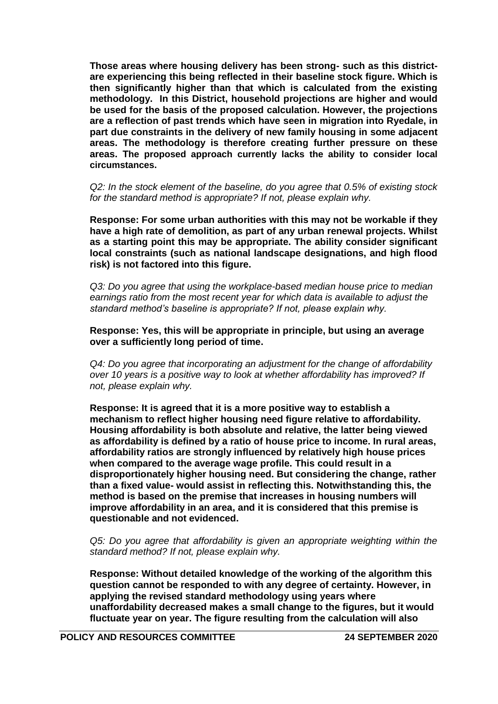**Those areas where housing delivery has been strong- such as this districtare experiencing this being reflected in their baseline stock figure. Which is then significantly higher than that which is calculated from the existing methodology. In this District, household projections are higher and would be used for the basis of the proposed calculation. However, the projections are a reflection of past trends which have seen in migration into Ryedale, in part due constraints in the delivery of new family housing in some adjacent areas. The methodology is therefore creating further pressure on these areas. The proposed approach currently lacks the ability to consider local circumstances.**

*Q2: In the stock element of the baseline, do you agree that 0.5% of existing stock for the standard method is appropriate? If not, please explain why.*

**Response: For some urban authorities with this may not be workable if they have a high rate of demolition, as part of any urban renewal projects. Whilst as a starting point this may be appropriate. The ability consider significant local constraints (such as national landscape designations, and high flood risk) is not factored into this figure.** 

*Q3: Do you agree that using the workplace-based median house price to median earnings ratio from the most recent year for which data is available to adjust the standard method's baseline is appropriate? If not, please explain why.* 

**Response: Yes, this will be appropriate in principle, but using an average over a sufficiently long period of time.** 

*Q4: Do you agree that incorporating an adjustment for the change of affordability over 10 years is a positive way to look at whether affordability has improved? If not, please explain why.* 

**Response: It is agreed that it is a more positive way to establish a mechanism to reflect higher housing need figure relative to affordability. Housing affordability is both absolute and relative, the latter being viewed as affordability is defined by a ratio of house price to income. In rural areas, affordability ratios are strongly influenced by relatively high house prices when compared to the average wage profile. This could result in a disproportionately higher housing need. But considering the change, rather than a fixed value- would assist in reflecting this. Notwithstanding this, the method is based on the premise that increases in housing numbers will improve affordability in an area, and it is considered that this premise is questionable and not evidenced.**

*Q5: Do you agree that affordability is given an appropriate weighting within the standard method? If not, please explain why.*

**Response: Without detailed knowledge of the working of the algorithm this question cannot be responded to with any degree of certainty. However, in applying the revised standard methodology using years where unaffordability decreased makes a small change to the figures, but it would fluctuate year on year. The figure resulting from the calculation will also** 

**POLICY AND RESOURCES COMMITTEE 24 SEPTEMBER 2020**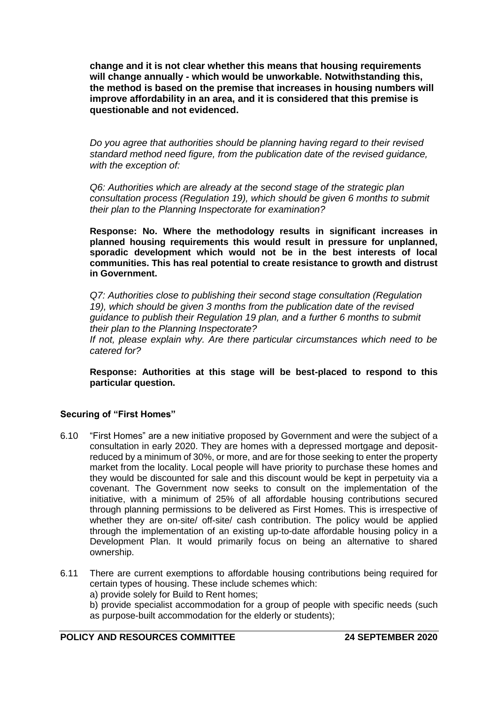**change and it is not clear whether this means that housing requirements will change annually - which would be unworkable. Notwithstanding this, the method is based on the premise that increases in housing numbers will improve affordability in an area, and it is considered that this premise is questionable and not evidenced.**

*Do you agree that authorities should be planning having regard to their revised standard method need figure, from the publication date of the revised guidance, with the exception of:* 

*Q6: Authorities which are already at the second stage of the strategic plan consultation process (Regulation 19), which should be given 6 months to submit their plan to the Planning Inspectorate for examination?* 

**Response: No. Where the methodology results in significant increases in planned housing requirements this would result in pressure for unplanned, sporadic development which would not be in the best interests of local communities. This has real potential to create resistance to growth and distrust in Government.**

*Q7: Authorities close to publishing their second stage consultation (Regulation 19), which should be given 3 months from the publication date of the revised guidance to publish their Regulation 19 plan, and a further 6 months to submit their plan to the Planning Inspectorate?* 

*If not, please explain why. Are there particular circumstances which need to be catered for?*

**Response: Authorities at this stage will be best-placed to respond to this particular question.** 

### **Securing of "First Homes"**

- 6.10 "First Homes" are a new initiative proposed by Government and were the subject of a consultation in early 2020. They are homes with a depressed mortgage and depositreduced by a minimum of 30%, or more, and are for those seeking to enter the property market from the locality. Local people will have priority to purchase these homes and they would be discounted for sale and this discount would be kept in perpetuity via a covenant. The Government now seeks to consult on the implementation of the initiative, with a minimum of 25% of all affordable housing contributions secured through planning permissions to be delivered as First Homes. This is irrespective of whether they are on-site/ off-site/ cash contribution. The policy would be applied through the implementation of an existing up-to-date affordable housing policy in a Development Plan. It would primarily focus on being an alternative to shared ownership.
- 6.11 There are current exemptions to affordable housing contributions being required for certain types of housing. These include schemes which:
	- a) provide solely for Build to Rent homes;

b) provide specialist accommodation for a group of people with specific needs (such as purpose-built accommodation for the elderly or students);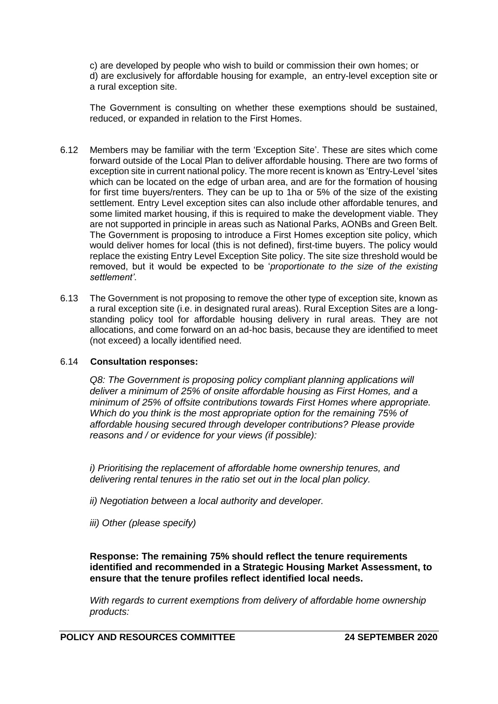c) are developed by people who wish to build or commission their own homes; or d) are exclusively for affordable housing for example, an entry-level exception site or a rural exception site.

The Government is consulting on whether these exemptions should be sustained, reduced, or expanded in relation to the First Homes.

- 6.12 Members may be familiar with the term 'Exception Site'. These are sites which come forward outside of the Local Plan to deliver affordable housing. There are two forms of exception site in current national policy. The more recent is known as 'Entry-Level 'sites which can be located on the edge of urban area, and are for the formation of housing for first time buyers/renters. They can be up to 1ha or 5% of the size of the existing settlement. Entry Level exception sites can also include other affordable tenures, and some limited market housing, if this is required to make the development viable. They are not supported in principle in areas such as National Parks, AONBs and Green Belt. The Government is proposing to introduce a First Homes exception site policy, which would deliver homes for local (this is not defined), first-time buyers. The policy would replace the existing Entry Level Exception Site policy. The site size threshold would be removed, but it would be expected to be '*proportionate to the size of the existing settlement'*.
- 6.13 The Government is not proposing to remove the other type of exception site, known as a rural exception site (i.e. in designated rural areas). Rural Exception Sites are a longstanding policy tool for affordable housing delivery in rural areas. They are not allocations, and come forward on an ad-hoc basis, because they are identified to meet (not exceed) a locally identified need.

### 6.14 **Consultation responses:**

*Q8: The Government is proposing policy compliant planning applications will deliver a minimum of 25% of onsite affordable housing as First Homes, and a minimum of 25% of offsite contributions towards First Homes where appropriate. Which do you think is the most appropriate option for the remaining 75% of affordable housing secured through developer contributions? Please provide reasons and / or evidence for your views (if possible):* 

*i) Prioritising the replacement of affordable home ownership tenures, and delivering rental tenures in the ratio set out in the local plan policy.* 

*ii) Negotiation between a local authority and developer.* 

*iii) Other (please specify)*

**Response: The remaining 75% should reflect the tenure requirements identified and recommended in a Strategic Housing Market Assessment, to ensure that the tenure profiles reflect identified local needs.**

*With regards to current exemptions from delivery of affordable home ownership products:*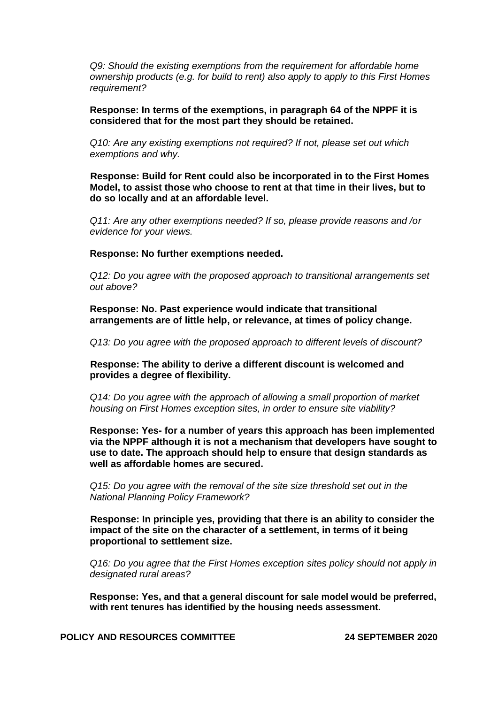*Q9: Should the existing exemptions from the requirement for affordable home ownership products (e.g. for build to rent) also apply to apply to this First Homes requirement?* 

**Response: In terms of the exemptions, in paragraph 64 of the NPPF it is considered that for the most part they should be retained.** 

*Q10: Are any existing exemptions not required? If not, please set out which exemptions and why.* 

**Response: Build for Rent could also be incorporated in to the First Homes Model, to assist those who choose to rent at that time in their lives, but to do so locally and at an affordable level.** 

*Q11: Are any other exemptions needed? If so, please provide reasons and /or evidence for your views.*

**Response: No further exemptions needed.** 

*Q12: Do you agree with the proposed approach to transitional arrangements set out above?*

**Response: No. Past experience would indicate that transitional arrangements are of little help, or relevance, at times of policy change.**

*Q13: Do you agree with the proposed approach to different levels of discount?*

**Response: The ability to derive a different discount is welcomed and provides a degree of flexibility.** 

*Q14: Do you agree with the approach of allowing a small proportion of market housing on First Homes exception sites, in order to ensure site viability?* 

**Response: Yes- for a number of years this approach has been implemented via the NPPF although it is not a mechanism that developers have sought to use to date. The approach should help to ensure that design standards as well as affordable homes are secured.**

*Q15: Do you agree with the removal of the site size threshold set out in the National Planning Policy Framework?* 

**Response: In principle yes, providing that there is an ability to consider the impact of the site on the character of a settlement, in terms of it being proportional to settlement size.**

*Q16: Do you agree that the First Homes exception sites policy should not apply in designated rural areas?*

**Response: Yes, and that a general discount for sale model would be preferred, with rent tenures has identified by the housing needs assessment.**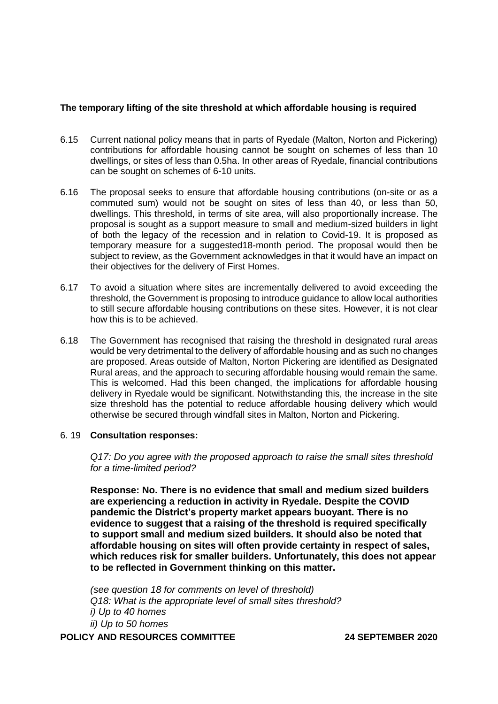## **The temporary lifting of the site threshold at which affordable housing is required**

- 6.15 Current national policy means that in parts of Ryedale (Malton, Norton and Pickering) contributions for affordable housing cannot be sought on schemes of less than 10 dwellings, or sites of less than 0.5ha. In other areas of Ryedale, financial contributions can be sought on schemes of 6-10 units.
- 6.16 The proposal seeks to ensure that affordable housing contributions (on-site or as a commuted sum) would not be sought on sites of less than 40, or less than 50, dwellings. This threshold, in terms of site area, will also proportionally increase. The proposal is sought as a support measure to small and medium-sized builders in light of both the legacy of the recession and in relation to Covid-19. It is proposed as temporary measure for a suggested18-month period. The proposal would then be subject to review, as the Government acknowledges in that it would have an impact on their objectives for the delivery of First Homes.
- 6.17 To avoid a situation where sites are incrementally delivered to avoid exceeding the threshold, the Government is proposing to introduce guidance to allow local authorities to still secure affordable housing contributions on these sites. However, it is not clear how this is to be achieved.
- 6.18 The Government has recognised that raising the threshold in designated rural areas would be very detrimental to the delivery of affordable housing and as such no changes are proposed. Areas outside of Malton, Norton Pickering are identified as Designated Rural areas, and the approach to securing affordable housing would remain the same. This is welcomed. Had this been changed, the implications for affordable housing delivery in Ryedale would be significant. Notwithstanding this, the increase in the site size threshold has the potential to reduce affordable housing delivery which would otherwise be secured through windfall sites in Malton, Norton and Pickering.

### 6. 19 **Consultation responses:**

*Q17: Do you agree with the proposed approach to raise the small sites threshold for a time-limited period?* 

**Response: No. There is no evidence that small and medium sized builders are experiencing a reduction in activity in Ryedale. Despite the COVID pandemic the District's property market appears buoyant. There is no evidence to suggest that a raising of the threshold is required specifically to support small and medium sized builders. It should also be noted that affordable housing on sites will often provide certainty in respect of sales, which reduces risk for smaller builders. Unfortunately, this does not appear to be reflected in Government thinking on this matter.**

*(see question 18 for comments on level of threshold) Q18: What is the appropriate level of small sites threshold? i) Up to 40 homes ii) Up to 50 homes*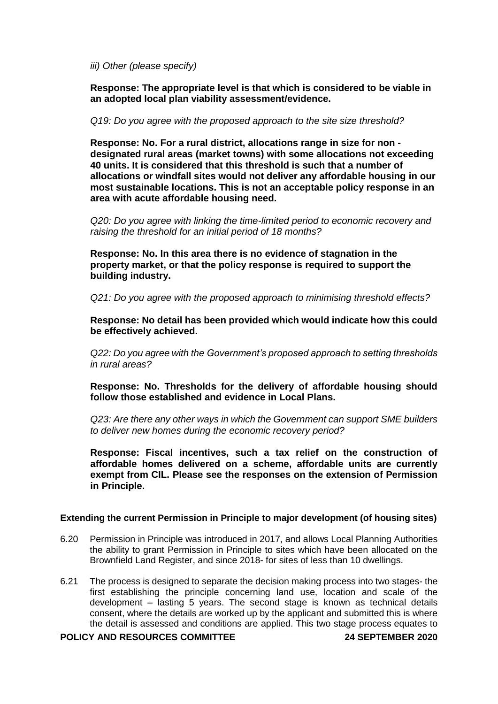*iii) Other (please specify)* 

**Response: The appropriate level is that which is considered to be viable in an adopted local plan viability assessment/evidence.**

*Q19: Do you agree with the proposed approach to the site size threshold?* 

**Response: No. For a rural district, allocations range in size for non designated rural areas (market towns) with some allocations not exceeding 40 units. It is considered that this threshold is such that a number of allocations or windfall sites would not deliver any affordable housing in our most sustainable locations. This is not an acceptable policy response in an area with acute affordable housing need.**

*Q20: Do you agree with linking the time-limited period to economic recovery and raising the threshold for an initial period of 18 months?* 

**Response: No. In this area there is no evidence of stagnation in the property market, or that the policy response is required to support the building industry.**

*Q21: Do you agree with the proposed approach to minimising threshold effects?*

**Response: No detail has been provided which would indicate how this could be effectively achieved.**

*Q22: Do you agree with the Government's proposed approach to setting thresholds in rural areas?*

**Response: No. Thresholds for the delivery of affordable housing should follow those established and evidence in Local Plans.**

*Q23: Are there any other ways in which the Government can support SME builders to deliver new homes during the economic recovery period?*

**Response: Fiscal incentives, such a tax relief on the construction of affordable homes delivered on a scheme, affordable units are currently exempt from CIL. Please see the responses on the extension of Permission in Principle.** 

### **Extending the current Permission in Principle to major development (of housing sites)**

- 6.20 Permission in Principle was introduced in 2017, and allows Local Planning Authorities the ability to grant Permission in Principle to sites which have been allocated on the Brownfield Land Register, and since 2018- for sites of less than 10 dwellings.
- 6.21 The process is designed to separate the decision making process into two stages- the first establishing the principle concerning land use, location and scale of the development – lasting 5 years. The second stage is known as technical details consent, where the details are worked up by the applicant and submitted this is where the detail is assessed and conditions are applied. This two stage process equates to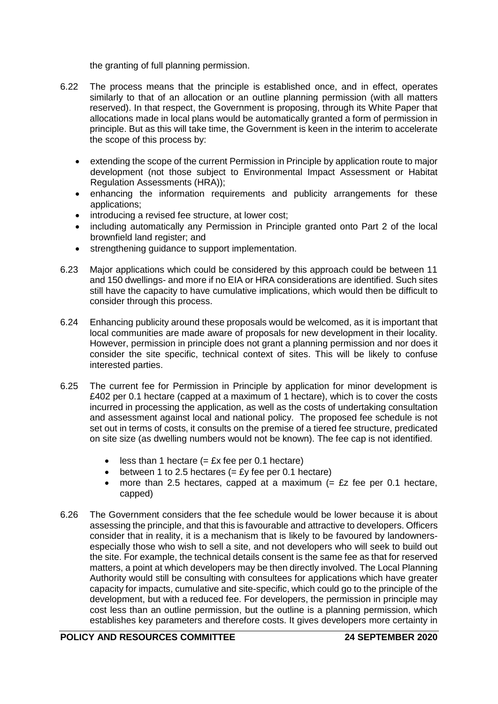the granting of full planning permission.

- 6.22 The process means that the principle is established once, and in effect, operates similarly to that of an allocation or an outline planning permission (with all matters reserved). In that respect, the Government is proposing, through its White Paper that allocations made in local plans would be automatically granted a form of permission in principle. But as this will take time, the Government is keen in the interim to accelerate the scope of this process by:
	- extending the scope of the current Permission in Principle by application route to major development (not those subject to Environmental Impact Assessment or Habitat Regulation Assessments (HRA));
	- enhancing the information requirements and publicity arrangements for these applications;
	- introducing a revised fee structure, at lower cost;
	- including automatically any Permission in Principle granted onto Part 2 of the local brownfield land register; and
	- strengthening guidance to support implementation.
- 6.23 Major applications which could be considered by this approach could be between 11 and 150 dwellings- and more if no EIA or HRA considerations are identified. Such sites still have the capacity to have cumulative implications, which would then be difficult to consider through this process.
- 6.24 Enhancing publicity around these proposals would be welcomed, as it is important that local communities are made aware of proposals for new development in their locality. However, permission in principle does not grant a planning permission and nor does it consider the site specific, technical context of sites. This will be likely to confuse interested parties.
- 6.25 The current fee for Permission in Principle by application for minor development is £402 per 0.1 hectare (capped at a maximum of 1 hectare), which is to cover the costs incurred in processing the application, as well as the costs of undertaking consultation and assessment against local and national policy. The proposed fee schedule is not set out in terms of costs, it consults on the premise of a tiered fee structure, predicated on site size (as dwelling numbers would not be known). The fee cap is not identified.
	- $\bullet$  less than 1 hectare (= £x fee per 0.1 hectare)
	- between 1 to 2.5 hectares  $(= E<sub>V</sub>$  fee per 0.1 hectare)
	- more than 2.5 hectares, capped at a maximum  $(=$  £z fee per 0.1 hectare, capped)
- 6.26 The Government considers that the fee schedule would be lower because it is about assessing the principle, and that this is favourable and attractive to developers. Officers consider that in reality, it is a mechanism that is likely to be favoured by landownersespecially those who wish to sell a site, and not developers who will seek to build out the site. For example, the technical details consent is the same fee as that for reserved matters, a point at which developers may be then directly involved. The Local Planning Authority would still be consulting with consultees for applications which have greater capacity for impacts, cumulative and site-specific, which could go to the principle of the development, but with a reduced fee. For developers, the permission in principle may cost less than an outline permission, but the outline is a planning permission, which establishes key parameters and therefore costs. It gives developers more certainty in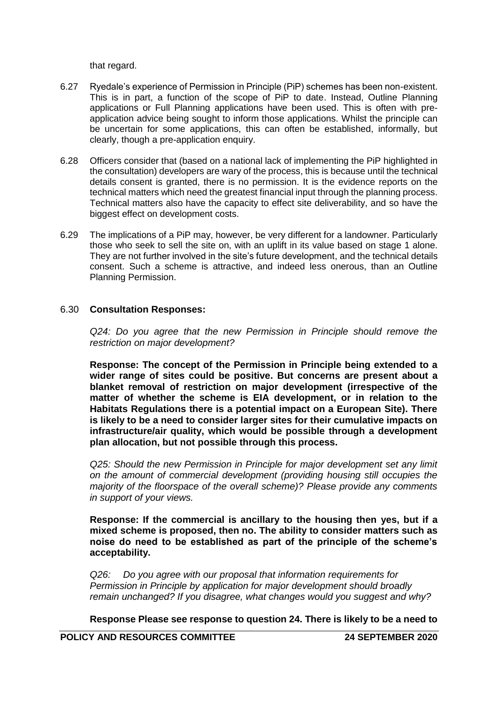that regard.

- 6.27 Ryedale's experience of Permission in Principle (PiP) schemes has been non-existent. This is in part, a function of the scope of PiP to date. Instead, Outline Planning applications or Full Planning applications have been used. This is often with preapplication advice being sought to inform those applications. Whilst the principle can be uncertain for some applications, this can often be established, informally, but clearly, though a pre-application enquiry.
- 6.28 Officers consider that (based on a national lack of implementing the PiP highlighted in the consultation) developers are wary of the process, this is because until the technical details consent is granted, there is no permission. It is the evidence reports on the technical matters which need the greatest financial input through the planning process. Technical matters also have the capacity to effect site deliverability, and so have the biggest effect on development costs.
- 6.29 The implications of a PiP may, however, be very different for a landowner. Particularly those who seek to sell the site on, with an uplift in its value based on stage 1 alone. They are not further involved in the site's future development, and the technical details consent. Such a scheme is attractive, and indeed less onerous, than an Outline Planning Permission.

### 6.30 **Consultation Responses:**

*Q24: Do you agree that the new Permission in Principle should remove the restriction on major development?*

**Response: The concept of the Permission in Principle being extended to a wider range of sites could be positive. But concerns are present about a blanket removal of restriction on major development (irrespective of the matter of whether the scheme is EIA development, or in relation to the Habitats Regulations there is a potential impact on a European Site). There is likely to be a need to consider larger sites for their cumulative impacts on infrastructure/air quality, which would be possible through a development plan allocation, but not possible through this process.** 

*Q25: Should the new Permission in Principle for major development set any limit on the amount of commercial development (providing housing still occupies the majority of the floorspace of the overall scheme)? Please provide any comments in support of your views.*

**Response: If the commercial is ancillary to the housing then yes, but if a mixed scheme is proposed, then no. The ability to consider matters such as noise do need to be established as part of the principle of the scheme's acceptability.** 

*Q26: Do you agree with our proposal that information requirements for Permission in Principle by application for major development should broadly remain unchanged? If you disagree, what changes would you suggest and why?* 

**Response Please see response to question 24. There is likely to be a need to** 

**POLICY AND RESOURCES COMMITTEE 24 SEPTEMBER 2020**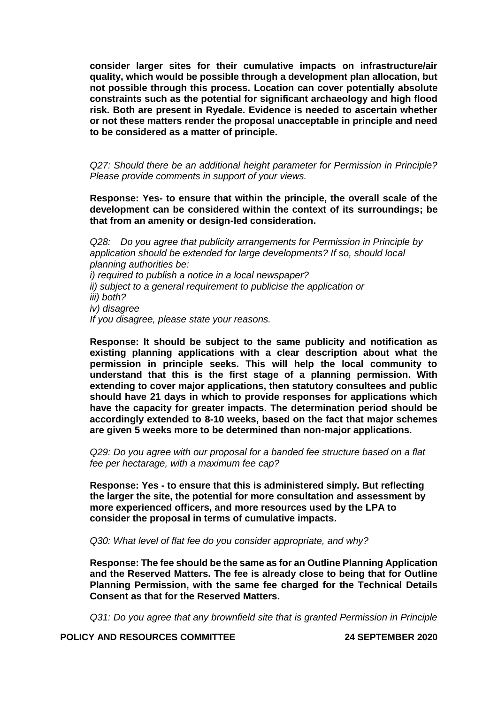**consider larger sites for their cumulative impacts on infrastructure/air quality, which would be possible through a development plan allocation, but not possible through this process. Location can cover potentially absolute constraints such as the potential for significant archaeology and high flood risk. Both are present in Ryedale. Evidence is needed to ascertain whether or not these matters render the proposal unacceptable in principle and need to be considered as a matter of principle.** 

*Q27: Should there be an additional height parameter for Permission in Principle? Please provide comments in support of your views.*

**Response: Yes- to ensure that within the principle, the overall scale of the development can be considered within the context of its surroundings; be that from an amenity or design-led consideration.** 

*Q28: Do you agree that publicity arrangements for Permission in Principle by application should be extended for large developments? If so, should local planning authorities be: i) required to publish a notice in a local newspaper? ii) subject to a general requirement to publicise the application or iii) both? iv) disagree If you disagree, please state your reasons.*

**Response: It should be subject to the same publicity and notification as existing planning applications with a clear description about what the permission in principle seeks. This will help the local community to understand that this is the first stage of a planning permission. With extending to cover major applications, then statutory consultees and public should have 21 days in which to provide responses for applications which have the capacity for greater impacts. The determination period should be accordingly extended to 8-10 weeks, based on the fact that major schemes are given 5 weeks more to be determined than non-major applications.** 

*Q29: Do you agree with our proposal for a banded fee structure based on a flat fee per hectarage, with a maximum fee cap?* 

**Response: Yes - to ensure that this is administered simply. But reflecting the larger the site, the potential for more consultation and assessment by more experienced officers, and more resources used by the LPA to consider the proposal in terms of cumulative impacts.** 

*Q30: What level of flat fee do you consider appropriate, and why?*

**Response: The fee should be the same as for an Outline Planning Application and the Reserved Matters. The fee is already close to being that for Outline Planning Permission, with the same fee charged for the Technical Details Consent as that for the Reserved Matters.** 

*Q31: Do you agree that any brownfield site that is granted Permission in Principle*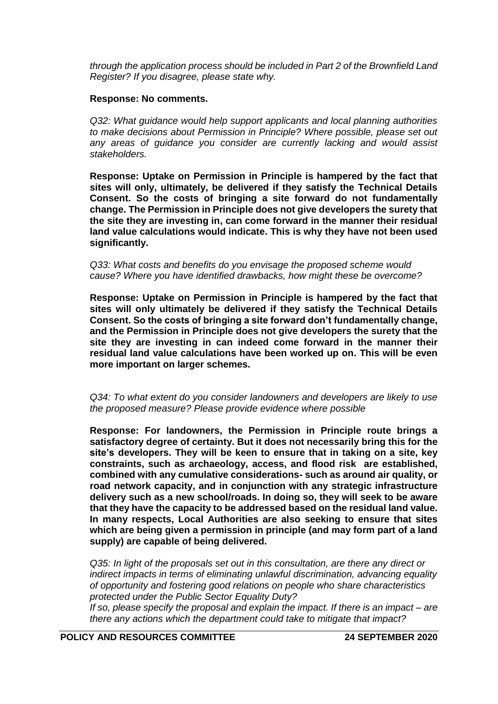*through the application process should be included in Part 2 of the Brownfield Land Register? If you disagree, please state why.*

### **Response: No comments.**

*Q32: What guidance would help support applicants and local planning authorities to make decisions about Permission in Principle? Where possible, please set out any areas of guidance you consider are currently lacking and would assist stakeholders.*

**Response: Uptake on Permission in Principle is hampered by the fact that sites will only, ultimately, be delivered if they satisfy the Technical Details Consent. So the costs of bringing a site forward do not fundamentally change. The Permission in Principle does not give developers the surety that the site they are investing in, can come forward in the manner their residual land value calculations would indicate. This is why they have not been used significantly.** 

*Q33: What costs and benefits do you envisage the proposed scheme would cause? Where you have identified drawbacks, how might these be overcome?* 

**Response: Uptake on Permission in Principle is hampered by the fact that sites will only ultimately be delivered if they satisfy the Technical Details Consent. So the costs of bringing a site forward don't fundamentally change, and the Permission in Principle does not give developers the surety that the site they are investing in can indeed come forward in the manner their residual land value calculations have been worked up on. This will be even more important on larger schemes.** 

### *Q34: To what extent do you consider landowners and developers are likely to use the proposed measure? Please provide evidence where possible*

**Response: For landowners, the Permission in Principle route brings a satisfactory degree of certainty. But it does not necessarily bring this for the site's developers. They will be keen to ensure that in taking on a site, key constraints, such as archaeology, access, and flood risk are established, combined with any cumulative considerations- such as around air quality, or road network capacity, and in conjunction with any strategic infrastructure delivery such as a new school/roads. In doing so, they will seek to be aware that they have the capacity to be addressed based on the residual land value. In many respects, Local Authorities are also seeking to ensure that sites which are being given a permission in principle (and may form part of a land supply) are capable of being delivered.** 

*Q35: In light of the proposals set out in this consultation, are there any direct or indirect impacts in terms of eliminating unlawful discrimination, advancing equality of opportunity and fostering good relations on people who share characteristics protected under the Public Sector Equality Duty?* 

*If so, please specify the proposal and explain the impact. If there is an impact – are there any actions which the department could take to mitigate that impact?*

**POLICY AND RESOURCES COMMITTEE 24 SEPTEMBER 2020**